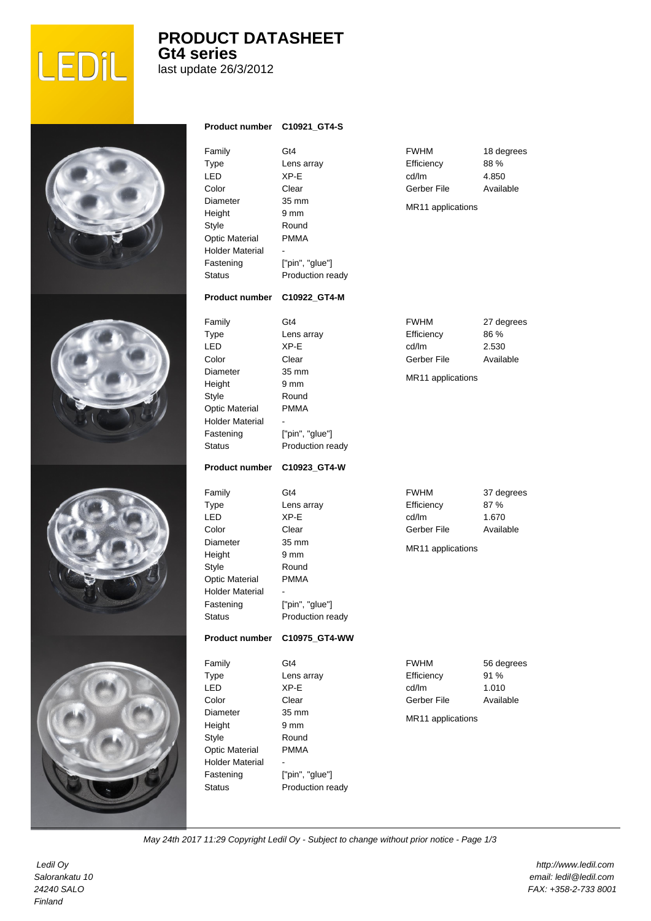

## **PRODUCT DATASHEET Gt4 series**

last update 26/3/2012

| <b>Product number</b>                                                                                                                                        | C10921_GT4-S                                                                                                       |                                                                        |                                          |
|--------------------------------------------------------------------------------------------------------------------------------------------------------------|--------------------------------------------------------------------------------------------------------------------|------------------------------------------------------------------------|------------------------------------------|
| Family<br><b>Type</b><br>LED<br>Color<br><b>Diameter</b><br>Height<br>Style<br><b>Optic Material</b><br><b>Holder Material</b><br>Fastening<br><b>Status</b> | Gt4<br>Lens array<br>XP-E<br>Clear<br>35 mm<br>9 mm<br>Round<br><b>PMMA</b><br>["pin", "glue"]<br>Production ready | <b>FWHM</b><br>Efficiency<br>cd/lm<br>Gerber File<br>MR11 applications | 18 degrees<br>88 %<br>4.850<br>Available |
| <b>Product number</b>                                                                                                                                        | C10922_GT4-M                                                                                                       |                                                                        |                                          |
| Family<br><b>Type</b><br>LED<br>Color<br>Diameter<br>Height<br>Style<br><b>Optic Material</b><br><b>Holder Material</b><br>Fastening<br><b>Status</b>        | Gt4<br>Lens array<br>XP-E<br>Clear<br>35 mm<br>9 mm<br>Round<br><b>PMMA</b><br>["pin", "glue"]<br>Production ready | <b>FWHM</b><br>Efficiency<br>cd/lm<br>Gerber File<br>MR11 applications | 27 degrees<br>86 %<br>2.530<br>Available |
| <b>Product number</b>                                                                                                                                        | C10923_GT4-W                                                                                                       |                                                                        |                                          |
| Family<br><b>Type</b><br>LED<br>Color<br>Diameter<br>Height<br>Style<br><b>Optic Material</b><br><b>Holder Material</b><br>Fastening<br><b>Status</b>        | Gt4<br>Lens array<br>XP-E<br>Clear<br>35 mm<br>9 mm<br>Round<br><b>PMMA</b><br>["pin", "glue"]<br>Production ready | <b>FWHM</b><br>Efficiency<br>cd/lm<br>Gerber File<br>MR11 applications | 37 degrees<br>87%<br>1.670<br>Available  |
| <b>Product number</b>                                                                                                                                        | C10975_GT4-WW                                                                                                      |                                                                        |                                          |
| Family<br>Type<br>LED<br>Color<br><b>Diameter</b><br>Height<br>Style<br><b>Optic Material</b><br><b>Holder Material</b><br>Fastening<br><b>Status</b>        | Gt4<br>Lens array<br>XP-E<br>Clear<br>35 mm<br>9 mm<br>Round<br><b>PMMA</b><br>["pin", "glue"]<br>Production ready | <b>FWHM</b><br>Efficiency<br>cd/lm<br>Gerber File<br>MR11 applications | 56 degrees<br>91 %<br>1.010<br>Available |

May 24th 2017 11:29 Copyright Ledil Oy - Subject to change without prior notice - Page 1/3

 Ledil Oy Salorankatu 10 24240 SALO Finland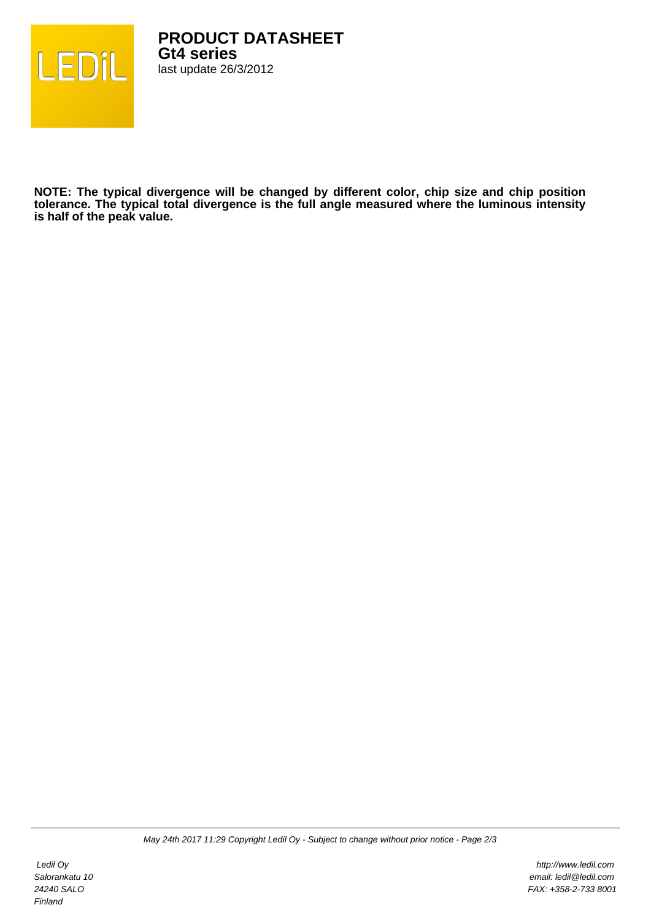

**NOTE: The typical divergence will be changed by different color, chip size and chip position tolerance. The typical total divergence is the full angle measured where the luminous intensity is half of the peak value.**

 Ledil Oy Salorankatu 10 24240 SALO Finland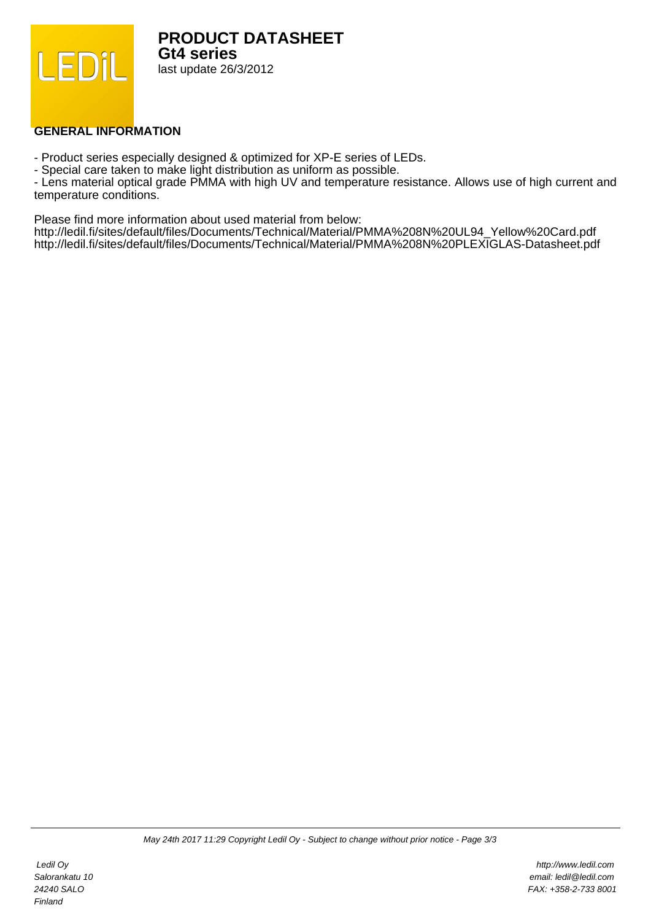

**PRODUCT DATASHEET Gt4 series** last update 26/3/2012

## **GENERAL INFORMATION**

- Product series especially designed & optimized for XP-E series of LEDs.

- Special care taken to make light distribution as uniform as possible.

- Lens material optical grade PMMA with high UV and temperature resistance. Allows use of high current and temperature conditions.

Please find more information about used material from below:

http://ledil.fi/sites/default/files/Documents/Technical/Material/PMMA%208N%20UL94\_Yellow%20Card.pdf http://ledil.fi/sites/default/files/Documents/Technical/Material/PMMA%208N%20PLEXIGLAS-Datasheet.pdf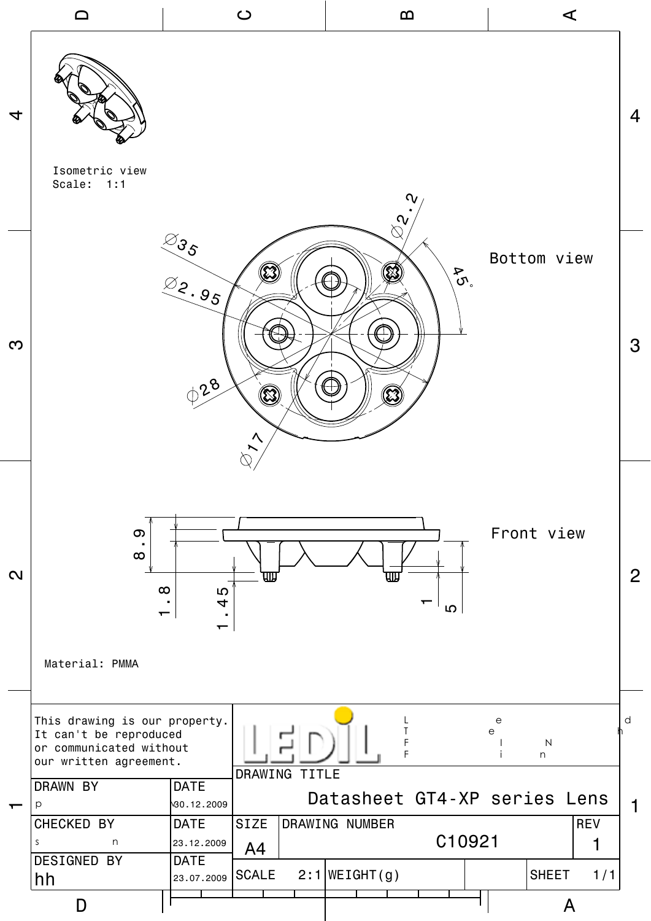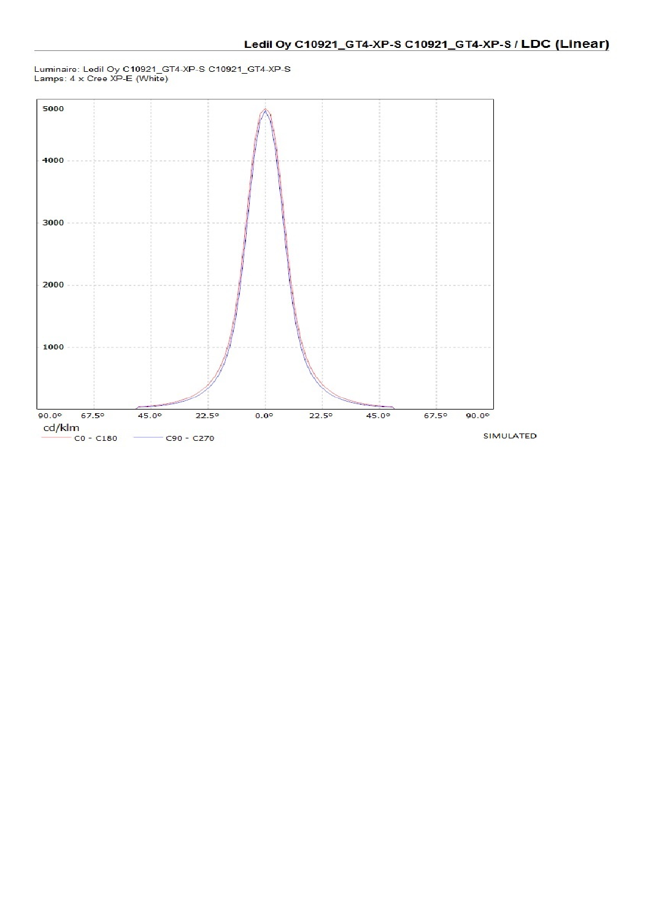

## Luminaire: Ledil Oy C10921\_GT4-XP-S C10921\_GT4-XP-S<br>Lamps: 4 x Cree XP-E (White)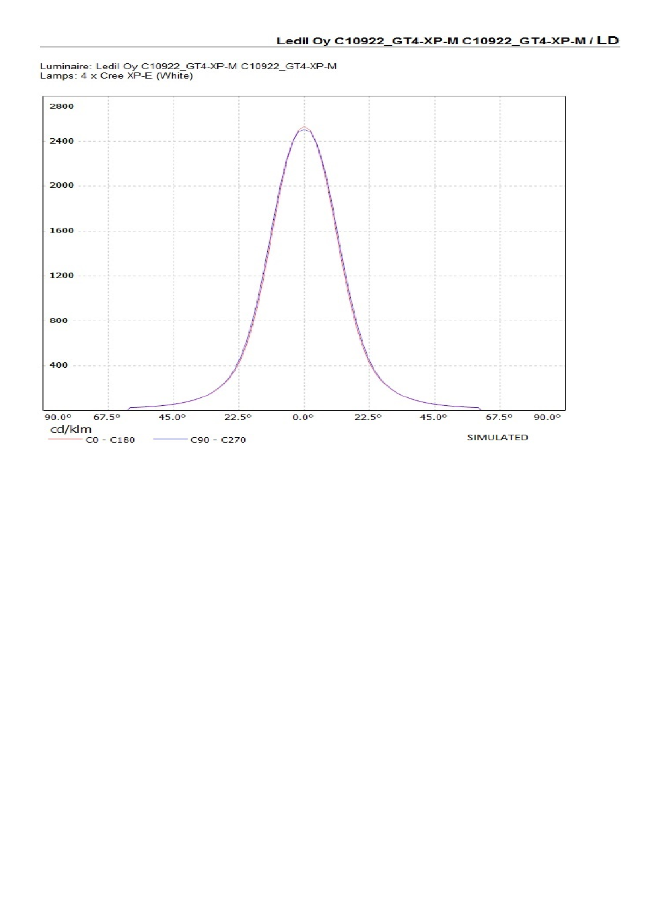

## Luminaire: Ledil Oy C10922\_GT4-XP-M C10922\_GT4-XP-M<br>Lamps: 4 x Cree XP-E (White)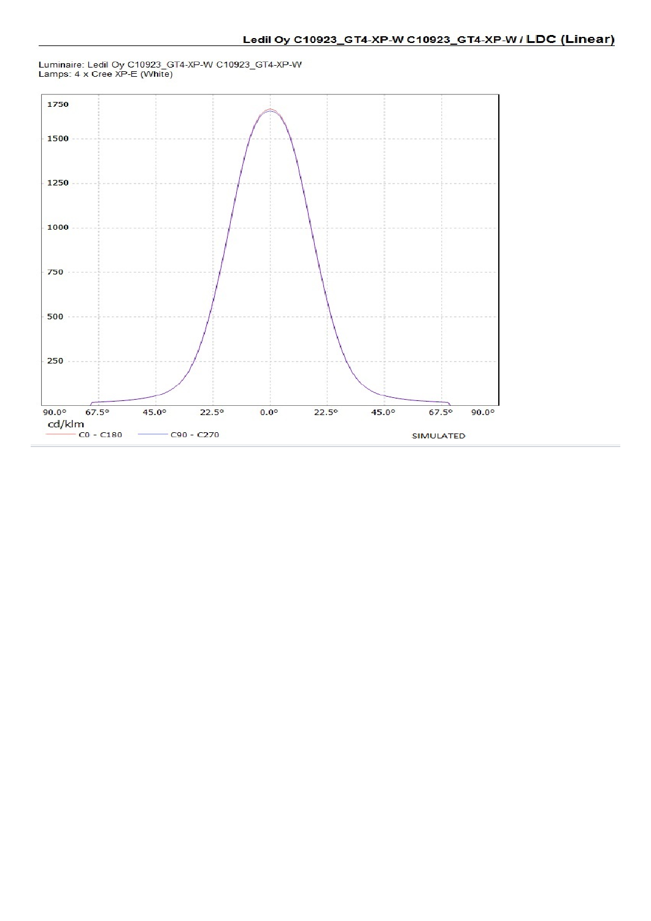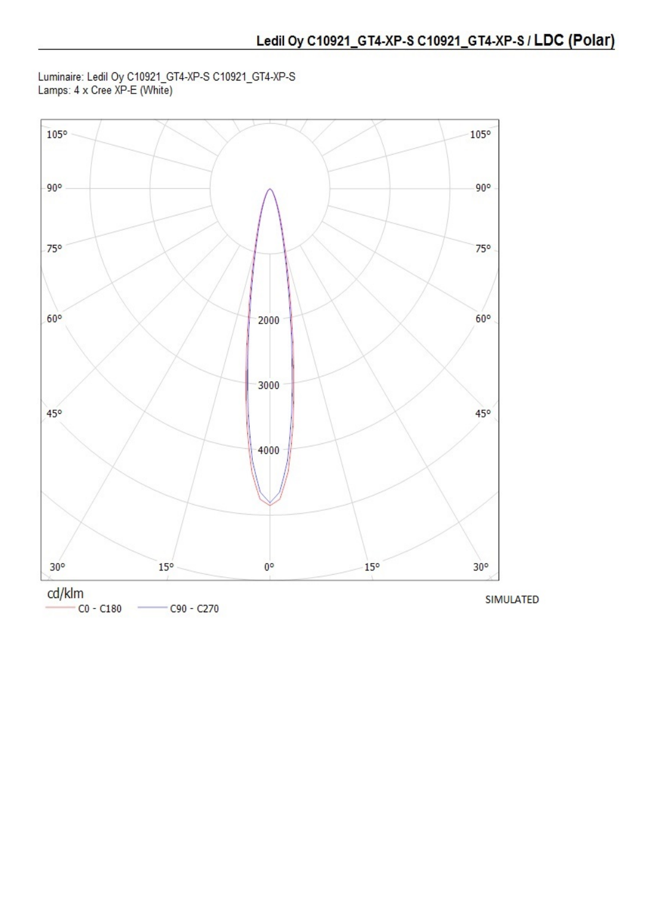Luminaire: Ledil Oy C10921\_GT4-XP-S C10921\_GT4-XP-S<br>Lamps: 4 x Cree XP-E (White)

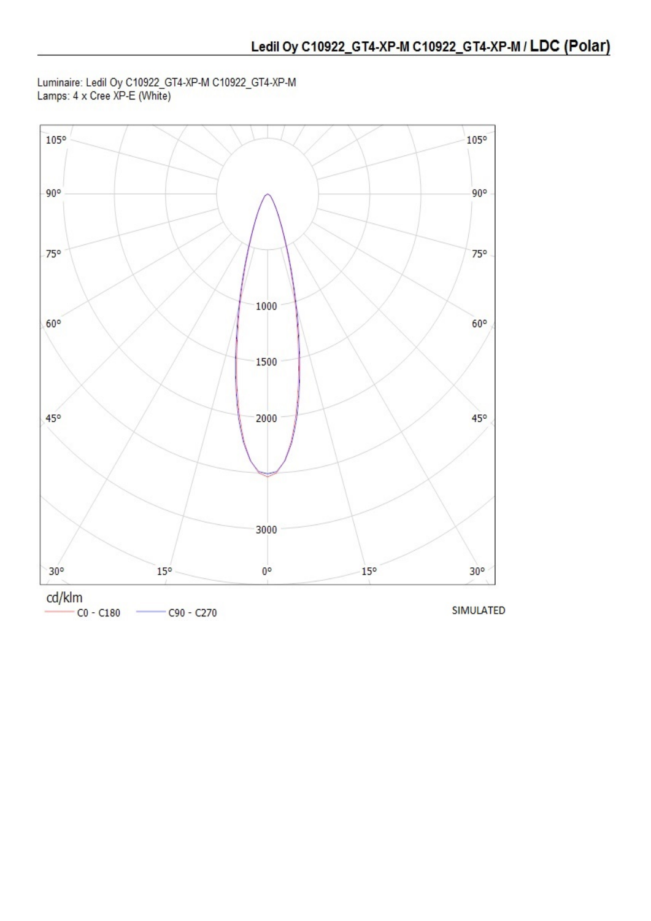Luminaire: Ledil Oy C10922\_GT4-XP-M C10922\_GT4-XP-M<br>Lamps: 4 x Cree XP-E (White)



 $CO - C180$  $C90 - C270$ 

**SIMULATED**